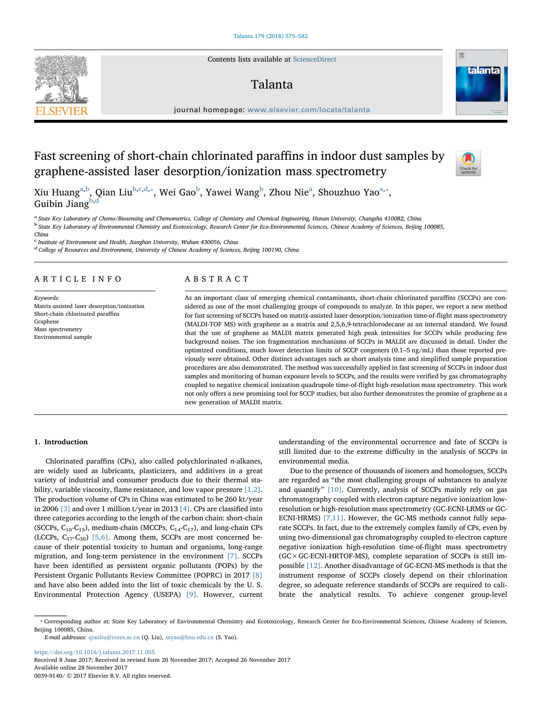Contents lists available at [ScienceDirect](http://www.sciencedirect.com/science/journal/00399140)

# Talanta



journal homepage: [www.elsevier.com/locate/talanta](https://www.elsevier.com/locate/talanta)

# Fast screening of short-chain chlorinated paraffins in indoor dust samples by graphene-assisted laser desorption/ionization mass spectrometry



Xiu Huang<sup>[a,](#page-0-0)[b](#page-0-1)</sup>, Qian Liu<sup>b[,c](#page-0-2)[,d,](#page-0-3)</sup>\*, Wei Gao<sup>b</sup>, Yawei Wang<sup>b</sup>, Zhou Nie<sup>a</sup>, Shouzhuo Yao<sup>a,</sup>\*, Gui[b](#page-0-1)in Jiang $^{b,d}$  $^{b,d}$  $^{b,d}$ 

<span id="page-0-1"></span><span id="page-0-0"></span>a State Key Laboratory of Chemo/Biosensing and Chemometrics, College of Chemistry and Chemical Engineering, Hunan University, Changsha 410082, China <sup>b</sup> State Key Laboratory of Environmental Chemistry and Ecotoxicology, Research Center for Eco-Environmental Sciences, Chinese Academy of Sciences, Beijing 100085, China

<span id="page-0-2"></span><sup>c</sup> Institute of Environment and Health, Jianghan University, Wuhan 430056, China

<span id="page-0-3"></span><sup>d</sup> College of Resources and Environment, University of Chinese Academy of Sciences, Beijing 100190, China

# ARTICLE INFO

Keywords: Matrix-assisted laser desorption/ionization Short-chain chlorinated paraffins Graphene Mass spectrometry Environmental sample

# ABSTRACT

As an important class of emerging chemical contaminants, short-chain chlorinated paraffins (SCCPs) are considered as one of the most challenging groups of compounds to analyze. In this paper, we report a new method for fast screening of SCCPs based on matrix-assisted laser desorption/ionization time-of-flight mass spectrometry (MALDI-TOF MS) with graphene as a matrix and 2,5,6,9-tetrachlorodecane as an internal standard. We found that the use of graphene as MALDI matrix generated high peak intensities for SCCPs while producing few background noises. The ion fragmentation mechanisms of SCCPs in MALDI are discussed in detail. Under the optimized conditions, much lower detection limits of SCCP congeners (0.1–5 ng/mL) than those reported previously were obtained. Other distinct advantages such as short analysis time and simplified sample preparation procedures are also demonstrated. The method was successfully applied in fast screening of SCCPs in indoor dust samples and monitoring of human exposure levels to SCCPs, and the results were verified by gas chromatography coupled to negative chemical ionization quadrupole time-of-flight high-resolution mass spectrometry. This work not only offers a new promising tool for SCCP studies, but also further demonstrates the promise of graphene as a new generation of MALDI matrix.

# 1. Introduction

Chlorinated paraffins (CPs), also called polychlorinated n-alkanes, are widely used as lubricants, plasticizers, and additives in a great variety of industrial and consumer products due to their thermal sta-bility, variable viscosity, flame resistance, and low vapor pressure [\[1,2\]](#page-6-0). The production volume of CPs in China was estimated to be 260 kt/year in 2006 [\[3\]](#page-6-1) and over 1 million t/year in 2013 [\[4\].](#page-6-2) CPs are classified into three categories according to the length of the carbon chain: short-chain (SCCPs,  $C_{10}$ - $C_{13}$ ), medium-chain (MCCPs,  $C_{14}$ - $C_{17}$ ), and long-chain CPs (LCCPs,  $C_{17}$ - $C_{30}$ ) [\[5,6\].](#page-6-3) Among them, SCCPs are most concerned because of their potential toxicity to human and organisms, long-range migration, and long-term persistence in the environment [\[7\].](#page-6-4) SCCPs have been identified as persistent organic pollutants (POPs) by the Persistent Organic Pollutants Review Committee (POPRC) in 2017 [\[8\]](#page-6-5) and have also been added into the list of toxic chemicals by the U. S. Environmental Protection Agency (USEPA) [\[9\].](#page-6-6) However, current

understanding of the environmental occurrence and fate of SCCPs is still limited due to the extreme difficulty in the analysis of SCCPs in environmental media.

Due to the presence of thousands of isomers and homologues, SCCPs are regarded as "the most challenging groups of substances to analyze and quantify" [\[10\].](#page-6-7) Currently, analysis of SCCPs mainly rely on gas chromatography coupled with electron capture negative ionization lowresolution or high-resolution mass spectrometry (GC-ECNI-LRMS or GC-ECNI-HRMS) [\[7,11\].](#page-6-4) However, the GC-MS methods cannot fully separate SCCPs. In fact, due to the extremely complex family of CPs, even by using two-dimensional gas chromatography coupled to electron capture negative ionization high-resolution time-of-flight mass spectrometry (GC×GC-ECNI-HRTOF-MS), complete separation of SCCPs is still impossible [\[12\].](#page-6-8) Another disadvantage of GC-ECNI-MS methods is that the instrument response of SCCPs closely depend on their chlorination degree, so adequate reference standards of SCCPs are required to calibrate the analytical results. To achieve congener group-level

E-mail addresses: [qianliu@rcees.ac.cn](mailto:qianliu@rcees.ac.cn) (Q. Liu), [szyao@hnu.edu.cn](mailto:szyao@hnu.edu.cn) (S. Yao).

<https://doi.org/10.1016/j.talanta.2017.11.055> Received 8 June 2017; Received in revised form 20 November 2017; Accepted 26 November 2017

Available online 28 November 2017

0039-9140/ © 2017 Elsevier B.V. All rights reserved.



<span id="page-0-4"></span><sup>⁎</sup> Corresponding author at: State Key Laboratory of Environmental Chemistry and Ecotoxicology, Research Center for Eco-Environmental Sciences, Chinese Academy of Sciences, Beijing 100085, China.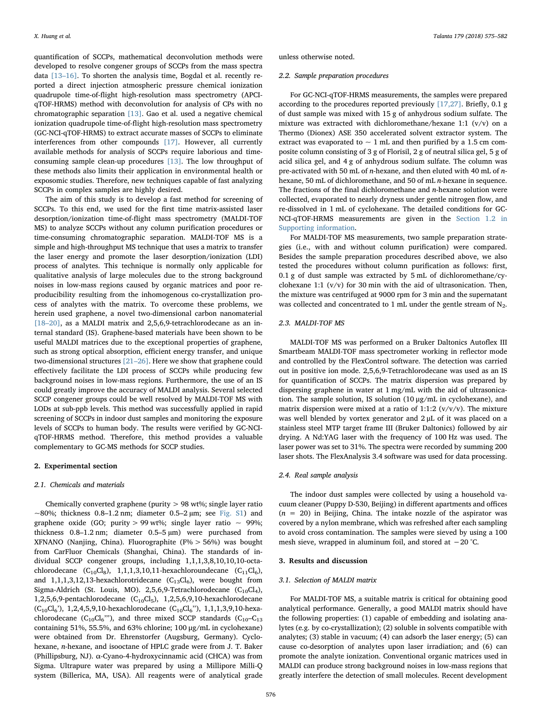quantification of SCCPs, mathematical deconvolution methods were developed to resolve congener groups of SCCPs from the mass spectra data [13–[16\].](#page-6-9) To shorten the analysis time, Bogdal et al. recently reported a direct injection atmospheric pressure chemical ionization quadrupole time-of-flight high-resolution mass spectrometry (APCIqTOF-HRMS) method with deconvolution for analysis of CPs with no chromatographic separation [\[13\].](#page-6-9) Gao et al. used a negative chemical ionization quadrupole time-of-flight high-resolution mass spectrometry (GC-NCI-qTOF-HRMS) to extract accurate masses of SCCPs to eliminate interferences from other compounds [\[17\].](#page-6-10) However, all currently available methods for analysis of SCCPs require laborious and timeconsuming sample clean-up procedures [\[13\]](#page-6-9). The low throughput of these methods also limits their application in environmental health or exposomic studies. Therefore, new techniques capable of fast analyzing SCCPs in complex samples are highly desired.

The aim of this study is to develop a fast method for screening of SCCPs. To this end, we used for the first time matrix-assisted laser desorption/ionization time-of-flight mass spectrometry (MALDI-TOF MS) to analyze SCCPs without any column purification procedures or time-consuming chromatographic separation. MALDI-TOF MS is a simple and high-throughput MS technique that uses a matrix to transfer the laser energy and promote the laser desorption/ionization (LDI) process of analytes. This technique is normally only applicable for qualitative analysis of large molecules due to the strong background noises in low-mass regions caused by organic matrices and poor reproducibility resulting from the inhomogenous co-crystallization process of analytes with the matrix. To overcome these problems, we herein used graphene, a novel two-dimensional carbon nanomaterial [18–[20\]](#page-6-11), as a MALDI matrix and 2,5,6,9-tetrachlorodecane as an internal standard (IS). Graphene-based materials have been shown to be useful MALDI matrices due to the exceptional properties of graphene, such as strong optical absorption, efficient energy transfer, and unique two-dimensional structures [21–[26\].](#page-6-12) Here we show that graphene could effectively facilitate the LDI process of SCCPs while producing few background noises in low-mass regions. Furthermore, the use of an IS could greatly improve the accuracy of MALDI analysis. Several selected SCCP congener groups could be well resolved by MALDI-TOF MS with LODs at sub-ppb levels. This method was successfully applied in rapid screening of SCCPs in indoor dust samples and monitoring the exposure levels of SCCPs to human body. The results were verified by GC-NCIqTOF-HRMS method. Therefore, this method provides a valuable complementary to GC-MS methods for SCCP studies.

#### 2. Experimental section

# 2.1. Chemicals and materials

Chemically converted graphene (purity > 98 wt%; single layer ratio  $\sim$ 80%; thickness 0.8–1.2 nm; diameter 0.5–2 µm; see Fig. S1) and graphene oxide (GO; purity > 99 wt%; single layer ratio  $\sim$  99%; thickness 0.8–1.2 nm; diameter 0.5–5 µm) were purchased from XFNANO (Nanjing, China). Fluorographite (F% > 56%) was bought from CarFluor Chemicals (Shanghai, China). The standards of individual SCCP congener groups, including 1,1,1,3,8,10,10,10-octachlorodecane  $(C_{10}Cl_8)$ , 1,1,1,3,10,11-hexachloroundecane  $(C_{11}Cl_6)$ , and  $1,1,1,3,12,13$ -hexachlorotridecane  $(C_{13}Cl_6)$ , were bought from Sigma-Aldrich (St. Louis, MO). 2,5,6,9-Tetrachlorodecane  $(C_{10}Cl<sub>4</sub>)$ , 1,2,5,6,9-pentachlorodecane  $(C_{10}Cl_5)$ , 1,2,5,6,9,10-hexachlorodecane  $(C_{10}Cl_6')$ , 1,2,4,5,9,10-hexachlorodecane  $(C_{10}Cl_6'')$ , 1,1,1,3,9,10-hexachlorodecane  $(C_{10}Cl_6'')$ , and three mixed SCCP standards  $(C_{10}-C_{13})$ containing 51%, 55.5%, and 63% chlorine; 100 μg/mL in cyclohexane) were obtained from Dr. Ehrenstorfer (Augsburg, Germany). Cyclohexane, n-hexane, and isooctane of HPLC grade were from J. T. Baker (Phillipsburg, NJ). α-Cyano-4-hydroxycinnamic acid (CHCA) was from Sigma. Ultrapure water was prepared by using a Millipore Milli-Q system (Billerica, MA, USA). All reagents were of analytical grade unless otherwise noted.

#### 2.2. Sample preparation procedures

For GC-NCI-qTOF-HRMS measurements, the samples were prepared according to the procedures reported previously [\[17,27\]](#page-6-10). Briefly, 0.1 g of dust sample was mixed with 15 g of anhydrous sodium sulfate. The mixture was extracted with dichloromethane/hexane 1:1 (v/v) on a Thermo (Dionex) ASE 350 accelerated solvent extractor system. The extract was evaporated to  $\sim 1$  mL and then purified by a 1.5 cm composite column consisting of 3 g of Florisil, 2 g of neutral silica gel, 5 g of acid silica gel, and 4 g of anhydrous sodium sulfate. The column was pre-activated with 50 mL of *n*-hexane, and then eluted with 40 mL of *n*hexane, 50 mL of dichloromethane, and 50 of mL n-hexane in sequence. The fractions of the final dichloromethane and  $n$ -hexane solution were collected, evaporated to nearly dryness under gentle nitrogen flow, and re-dissolved in 1 mL of cyclohexane. The detailed conditions for GC-NCI-qTOF-HRMS measurements are given in the Section 1.2 in Supporting information.

For MALDI-TOF MS measurements, two sample preparation strategies (i.e., with and without column purification) were compared. Besides the sample preparation procedures described above, we also tested the procedures without column purification as follows: first, 0.1 g of dust sample was extracted by 5 mL of dichloromethane/cyclohexane 1:1 (v/v) for 30 min with the aid of ultrasonication. Then, the mixture was centrifuged at 9000 rpm for 3 min and the supernatant was collected and concentrated to 1 mL under the gentle stream of  $N_2$ .

# 2.3. MALDI-TOF MS

MALDI-TOF MS was performed on a Bruker Daltonics Autoflex III Smartbeam MALDI-TOF mass spectrometer working in reflector mode and controlled by the FlexControl software. The detection was carried out in positive ion mode. 2,5,6,9-Tetrachlorodecane was used as an IS for quantification of SCCPs. The matrix dispersion was prepared by dispersing graphene in water at 1 mg/mL with the aid of ultrasonication. The sample solution, IS solution (10 μg/mL in cyclohexane), and matrix dispersion were mixed at a ratio of 1:1:2 ( $v/v/v$ ). The mixture was well blended by vortex generator and 2 μL of it was placed on a stainless steel MTP target frame III (Bruker Daltonics) followed by air drying. A Nd:YAG laser with the frequency of 100 Hz was used. The laser power was set to 31%. The spectra were recorded by summing 200 laser shots. The FlexAnalysis 3.4 software was used for data processing.

# 2.4. Real sample analysis

The indoor dust samples were collected by using a household vacuum cleaner (Puppy D-530, Beijing) in different apartments and offices  $(n = 20)$  in Beijing, China. The intake nozzle of the aspirator was covered by a nylon membrane, which was refreshed after each sampling to avoid cross contamination. The samples were sieved by using a 100 mesh sieve, wrapped in aluminum foil, and stored at −20 °C.

# 3. Results and discussion

#### 3.1. Selection of MALDI matrix

For MALDI-TOF MS, a suitable matrix is critical for obtaining good analytical performance. Generally, a good MALDI matrix should have the following properties: (1) capable of embedding and isolating analytes (e.g. by co-crystallization); (2) soluble in solvents compatible with analytes; (3) stable in vacuum; (4) can adsorb the laser energy; (5) can cause co-desorption of analytes upon laser irradiation; and (6) can promote the analyte ionization. Conventional organic matrices used in MALDI can produce strong background noises in low-mass regions that greatly interfere the detection of small molecules. Recent development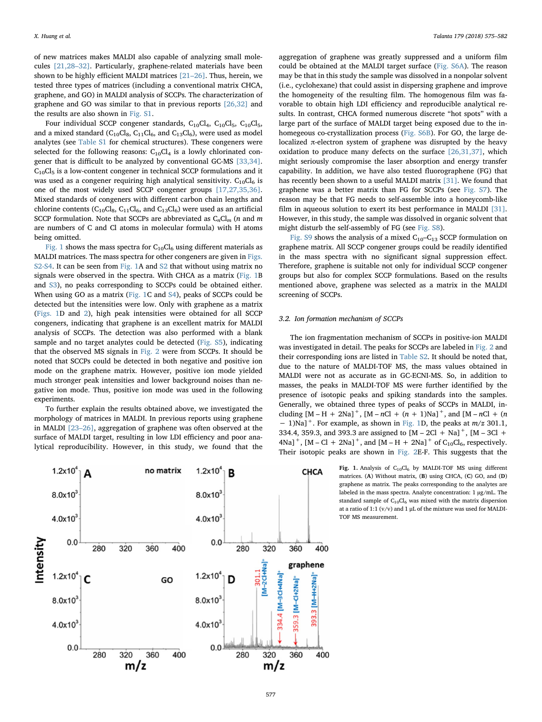of new matrices makes MALDI also capable of analyzing small molecules [\[21,28](#page-6-12)–32]. Particularly, graphene-related materials have been shown to be highly efficient MALDI matrices [21–[26\].](#page-6-12) Thus, herein, we tested three types of matrices (including a conventional matrix CHCA, graphene, and GO) in MALDI analysis of SCCPs. The characterization of graphene and GO was similar to that in previous reports [\[26,32\]](#page-6-13) and the results are also shown in Fig. S1.

Four individual SCCP congener standards,  $C_{10}Cl_4$ ,  $C_{10}Cl_5$ ,  $C_{10}Cl_5$ , and a mixed standard ( $C_{10}Cl_8$ ,  $C_{11}Cl_6$ , and  $C_{13}Cl_6$ ), were used as model analytes (see Table S1 for chemical structures). These congeners were selected for the following reasons:  $C_{10}Cl<sub>4</sub>$  is a lowly chlorinated congener that is difficult to be analyzed by conventional GC-MS [\[33,34\]](#page-6-14). C10Cl5 is a low-content congener in technical SCCP formulations and it was used as a congener requiring high analytical sensitivity.  $C_{10}Cl_6$  is one of the most widely used SCCP congener groups [\[17,27,35,36\]](#page-6-10). Mixed standards of congeners with different carbon chain lengths and chlorine contents  $(C_{10}Cl_8, C_{11}Cl_6, and C_{13}Cl_6)$  were used as an artificial SCCP formulation. Note that SCCPs are abbreviated as  $C_nCl_m$  (n and m are numbers of C and Cl atoms in molecular formula) with H atoms being omitted.

[Fig. 1](#page-2-0) shows the mass spectra for  $C_{10}Cl_6$  using different materials as MALDI matrices. The mass spectra for other congeners are given in Figs. S2-S4. It can be seen from [Fig. 1](#page-2-0)A and S2 that without using matrix no signals were observed in the spectra. With CHCA as a matrix [\(Fig. 1B](#page-2-0) and S3), no peaks corresponding to SCCPs could be obtained either. When using GO as a matrix ([Fig. 1C](#page-2-0) and S4), peaks of SCCPs could be detected but the intensities were low. Only with graphene as a matrix ([Figs. 1](#page-2-0)D and [2\)](#page-3-0), high peak intensities were obtained for all SCCP congeners, indicating that graphene is an excellent matrix for MALDI analysis of SCCPs. The detection was also performed with a blank sample and no target analytes could be detected (Fig. S5), indicating that the observed MS signals in [Fig. 2](#page-3-0) were from SCCPs. It should be noted that SCCPs could be detected in both negative and positive ion mode on the graphene matrix. However, positive ion mode yielded much stronger peak intensities and lower background noises than negative ion mode. Thus, positive ion mode was used in the following experiments.

To further explain the results obtained above, we investigated the morphology of matrices in MALDI. In previous reports using graphene in MALDI [\[23](#page-6-15)–26], aggregation of graphene was often observed at the surface of MALDI target, resulting in low LDI efficiency and poor analytical reproducibility. However, in this study, we found that the

aggregation of graphene was greatly suppressed and a uniform film could be obtained at the MALDI target surface (Fig. S6A). The reason may be that in this study the sample was dissolved in a nonpolar solvent (i.e., cyclohexane) that could assist in dispersing graphene and improve the homogeneity of the resulting film. The homogenous film was favorable to obtain high LDI efficiency and reproducible analytical results. In contrast, CHCA formed numerous discrete "hot spots" with a large part of the surface of MALDI target being exposed due to the inhomegeous co-crystallization process (Fig. S6B). For GO, the large delocalized π-electron system of graphene was disrupted by the heavy oxidation to produce many defects on the surface [\[26,31,37\]](#page-6-13), which might seriously compromise the laser absorption and energy transfer capability. In addition, we have also tested fluorographene (FG) that has recently been shown to a useful MALDI matrix [\[31\].](#page-6-16) We found that graphene was a better matrix than FG for SCCPs (see Fig. S7). The reason may be that FG needs to self-assemble into a honeycomb-like film in aqueous solution to exert its best performance in MALDI [\[31\]](#page-6-16). However, in this study, the sample was dissolved in organic solvent that might disturb the self-assembly of FG (see Fig. S8).

Fig. S9 shows the analysis of a mixed  $C_{10}-C_{13}$  SCCP formulation on graphene matrix. All SCCP congener groups could be readily identified in the mass spectra with no significant signal suppression effect. Therefore, graphene is suitable not only for individual SCCP congener groups but also for complex SCCP formulations. Based on the results mentioned above, graphene was selected as a matrix in the MALDI screening of SCCPs.

#### 3.2. Ion formation mechanism of SCCPs

The ion fragmentation mechanism of SCCPs in positive-ion MALDI was investigated in detail. The peaks for SCCPs are labeled in [Fig. 2](#page-3-0) and their corresponding ions are listed in Table S2. It should be noted that, due to the nature of MALDI-TOF MS, the mass values obtained in MALDI were not as accurate as in GC-ECNI-MS. So, in addition to masses, the peaks in MALDI-TOF MS were further identified by the presence of isotopic peaks and spiking standards into the samples. Generally, we obtained three types of peaks of SCCPs in MALDI, including  $[M - H + 2Na]^+$ ,  $[M - nCl + (n + 1)Na]^+$ , and  $[M - nCl + (n + 1)Na]^+$  $-1$ )Na]<sup>+</sup>. For example, as shown in [Fig. 1D](#page-2-0), the peaks at  $m/z$  301.1, 334.4, 359.3, and 393.3 are assigned to  $[M - 2Cl + Na]^{+}$ ,  $[M - 3Cl +$ 4Na]<sup>+</sup>, [M – Cl + 2Na]<sup>+</sup>, and [M – H + 2Na]<sup>+</sup> of C<sub>10</sub>Cl<sub>6</sub>, respectively. Their isotopic peaks are shown in [Fig. 2E](#page-3-0)-F. This suggests that the

> Fig. 1. Analysis of  $C_{10}Cl_6$  by MALDI-TOF MS using different matrices. (A) Without matrix, (B) using CHCA, (C) GO, and (D) graphene as matrix. The peaks corresponding to the analytes are labeled in the mass spectra. Analyte concentration: 1 µg/mL. The standard sample of  $C_{10}Cl_6$  was mixed with the matrix dispersion at a ratio of 1:1 ( $v/v$ ) and 1 µL of the mixture was used for MALDI-TOF MS measurement.

<span id="page-2-0"></span>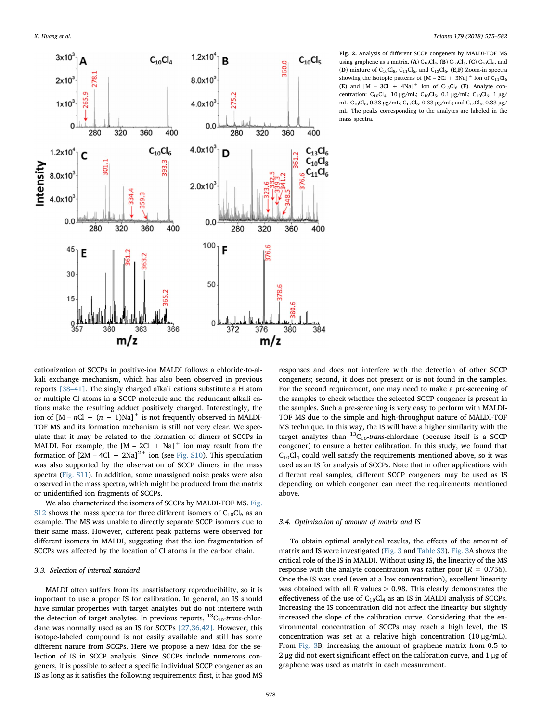<span id="page-3-0"></span>

Fig. 2. Analysis of different SCCP congeners by MALDI-TOF MS using graphene as a matrix. (A)  $C_{10}Cl_4$ , (B)  $C_{10}Cl_5$ , (C)  $C_{10}Cl_6$ , and (D) mixture of  $C_1$ <sub>0</sub> $C_2$ <sub>6</sub>,  $C_1$ <sub>11</sub> $C_3$ <sub>6</sub>, and  $C_1$ <sub>3</sub> $C_4$ <sub>6</sub>. (E,F) Zoom-in spectra showing the isotopic patterns of  $[M - 2Cl + 3Na]^+$  ion of  $C_{11}Cl_6$ (E) and  $[M - 3Cl + 4Na]^+$  ion of  $C_{13}Cl_6$  (F). Analyte concentration: C<sub>10</sub>Cl<sub>4</sub>, 10 μg/mL; C<sub>10</sub>Cl<sub>5</sub>, 0.1 μg/mL; C<sub>10</sub>Cl<sub>6</sub>, 1 μg/ mL; C<sub>10</sub>Cl<sub>8</sub>, 0.33 µg/mL; C<sub>11</sub>Cl<sub>6</sub>, 0.33 µg/mL; and C<sub>13</sub>Cl<sub>6</sub>, 0.33 µg/ mL. The peaks corresponding to the analytes are labeled in the mass spectra.

cationization of SCCPs in positive-ion MALDI follows a chloride-to-alkali exchange mechanism, which has also been observed in previous reports [38–[41\].](#page-6-17) The singly charged alkali cations substitute a H atom or multiple Cl atoms in a SCCP molecule and the redundant alkali cations make the resulting adduct positively charged. Interestingly, the ion of  $[M - nCl + (n - 1)Na]$ <sup>+</sup> is not frequently observed in MALDI-TOF MS and its formation mechanism is still not very clear. We speculate that it may be related to the formation of dimers of SCCPs in MALDI. For example, the  $[M - 2Cl + Na]$ <sup>+</sup> ion may result from the formation of  $[2M - 4Cl + 2Na]^{2+}$  ion (see Fig. S10). This speculation was also supported by the observation of SCCP dimers in the mass spectra (Fig. S11). In addition, some unassigned noise peaks were also observed in the mass spectra, which might be produced from the matrix or unidentified ion fragments of SCCPs.

We also characterized the isomers of SCCPs by MALDI-TOF MS. Fig. S12 shows the mass spectra for three different isomers of  $C_{10}Cl_6$  as an example. The MS was unable to directly separate SCCP isomers due to their same mass. However, different peak patterns were observed for different isomers in MALDI, suggesting that the ion fragmentation of SCCPs was affected by the location of Cl atoms in the carbon chain.

# 3.3. Selection of internal standard

MALDI often suffers from its unsatisfactory reproducibility, so it is important to use a proper IS for calibration. In general, an IS should have similar properties with target analytes but do not interfere with the detection of target analytes. In previous reports,  ${}^{13}C_{10}$ -trans-chlordane was normally used as an IS for SCCPs [\[27,36,42\]](#page-6-18). However, this isotope-labeled compound is not easily available and still has some different nature from SCCPs. Here we propose a new idea for the selection of IS in SCCP analysis. Since SCCPs include numerous congeners, it is possible to select a specific individual SCCP congener as an IS as long as it satisfies the following requirements: first, it has good MS

responses and does not interfere with the detection of other SCCP congeners; second, it does not present or is not found in the samples. For the second requirement, one may need to make a pre-screening of the samples to check whether the selected SCCP congener is present in the samples. Such a pre-screening is very easy to perform with MALDI-TOF MS due to the simple and high-throughput nature of MALDI-TOF MS technique. In this way, the IS will have a higher similarity with the target analytes than  ${}^{13}C_{10}$ -trans-chlordane (because itself is a SCCP congener) to ensure a better calibration. In this study, we found that  $C_{10}Cl<sub>4</sub>$  could well satisfy the requirements mentioned above, so it was used as an IS for analysis of SCCPs. Note that in other applications with different real samples, different SCCP congeners may be used as IS depending on which congener can meet the requirements mentioned above.

### 3.4. Optimization of amount of matrix and IS

To obtain optimal analytical results, the effects of the amount of matrix and IS were investigated [\(Fig. 3](#page-4-0) and Table S3). [Fig. 3A](#page-4-0) shows the critical role of the IS in MALDI. Without using IS, the linearity of the MS response with the analyte concentration was rather poor ( $R = 0.756$ ). Once the IS was used (even at a low concentration), excellent linearity was obtained with all  $R$  values  $> 0.98$ . This clearly demonstrates the effectiveness of the use of  $C_{10}Cl_4$  as an IS in MALDI analysis of SCCPs. Increasing the IS concentration did not affect the linearity but slightly increased the slope of the calibration curve. Considering that the environmental concentration of SCCPs may reach a high level, the IS concentration was set at a relative high concentration (10 μg/mL). From [Fig. 3](#page-4-0)B, increasing the amount of graphene matrix from 0.5 to 2 μg did not exert significant effect on the calibration curve, and 1 μg of graphene was used as matrix in each measurement.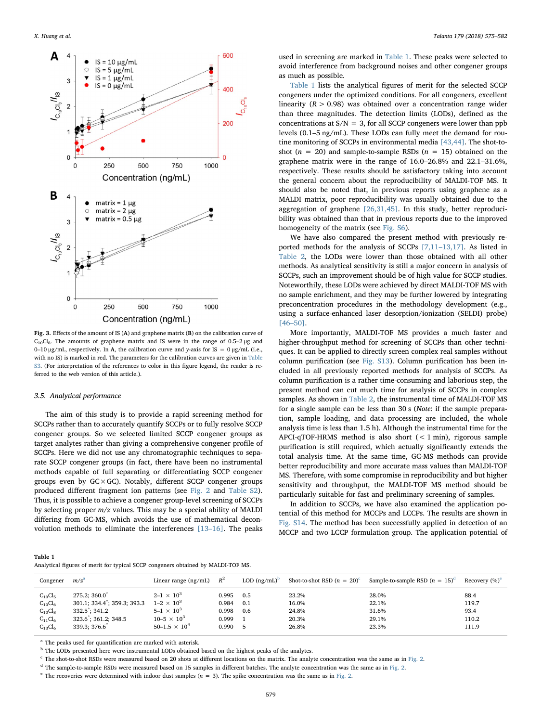<span id="page-4-0"></span>

Fig. 3. Effects of the amount of IS (A) and graphene matrix (B) on the calibration curve of  $C_{10}Cl_8$ . The amounts of graphene matrix and IS were in the range of 0.5–2 µg and 0–10 μg/mL, respectively. In A, the calibration curve and y-axis for IS = 0 μg/mL (i.e., with no IS) is marked in red. The parameters for the calibration curves are given in Table S3. (For interpretation of the references to color in this figure legend, the reader is referred to the web version of this article.).

#### 3.5. Analytical performance

The aim of this study is to provide a rapid screening method for SCCPs rather than to accurately quantify SCCPs or to fully resolve SCCP congener groups. So we selected limited SCCP congener groups as target analytes rather than giving a comprehensive congener profile of SCCPs. Here we did not use any chromatographic techniques to separate SCCP congener groups (in fact, there have been no instrumental methods capable of full separating or differentiating SCCP congener groups even by  $GC \times GC$ ). Notably, different SCCP congener groups produced different fragment ion patterns (see [Fig. 2](#page-3-0) and Table S2). Thus, it is possible to achieve a congener group-level screening of SCCPs by selecting proper  $m/z$  values. This may be a special ability of MALDI differing from GC-MS, which avoids the use of mathematical deconvolution methods to eliminate the interferences [13–[16\].](#page-6-9) The peaks

used in screening are marked in [Table 1.](#page-4-1) These peaks were selected to avoid interference from background noises and other congener groups as much as possible.

[Table 1](#page-4-1) lists the analytical figures of merit for the selected SCCP congeners under the optimized conditions. For all congeners, excellent linearity ( $R > 0.98$ ) was obtained over a concentration range wider than three magnitudes. The detection limits (LODs), defined as the concentrations at  $S/N = 3$ , for all SCCP congeners were lower than ppb levels (0.1–5 ng/mL). These LODs can fully meet the demand for routine monitoring of SCCPs in environmental media [\[43,44\].](#page-7-0) The shot-toshot ( $n = 20$ ) and sample-to-sample RSDs ( $n = 15$ ) obtained on the graphene matrix were in the range of 16.0–26.8% and 22.1–31.6%, respectively. These results should be satisfactory taking into account the general concern about the reproducibility of MALDI-TOF MS. It should also be noted that, in previous reports using graphene as a MALDI matrix, poor reproducibility was usually obtained due to the aggregation of graphene [\[26,31,45\]](#page-6-13). In this study, better reproducibility was obtained than that in previous reports due to the improved homogeneity of the matrix (see Fig. S6).

We have also compared the present method with previously reported methods for the analysis of SCCPs [7,11–[13,17\].](#page-6-4) As listed in [Table 2](#page-5-0), the LODs were lower than those obtained with all other methods. As analytical sensitivity is still a major concern in analysis of SCCPs, such an improvement should be of high value for SCCP studies. Noteworthily, these LODs were achieved by direct MALDI-TOF MS with no sample enrichment, and they may be further lowered by integrating preconcentration procedures in the methodology development (e.g., using a surface-enhanced laser desorption/ionization (SELDI) probe) [46–[50\]](#page-7-1).

More importantly, MALDI-TOF MS provides a much faster and higher-throughput method for screening of SCCPs than other techniques. It can be applied to directly screen complex real samples without column purification (see Fig. S13). Column purification has been included in all previously reported methods for analysis of SCCPs. As column purification is a rather time-consuming and laborious step, the present method can cut much time for analysis of SCCPs in complex samples. As shown in [Table 2](#page-5-0), the instrumental time of MALDI-TOF MS for a single sample can be less than 30 s (Note: if the sample preparation, sample loading, and data processing are included, the whole analysis time is less than 1.5 h). Although the instrumental time for the APCI-qTOF-HRMS method is also short  $(< 1$  min), rigorous sample purification is still required, which actually significantly extends the total analysis time. At the same time, GC-MS methods can provide better reproducibility and more accurate mass values than MALDI-TOF MS. Therefore, with some compromise in reproducibility and but higher sensitivity and throughput, the MALDI-TOF MS method should be particularly suitable for fast and preliminary screening of samples.

In addition to SCCPs, we have also examined the application potential of this method for MCCPs and LCCPs. The results are shown in Fig. S14. The method has been successfully applied in detection of an MCCP and two LCCP formulation group. The application potential of

<span id="page-4-1"></span>

| Table 1 |  |  |                                                                                  |  |
|---------|--|--|----------------------------------------------------------------------------------|--|
|         |  |  | Analytical figures of merit for typical SCCP congeners obtained by MALDI-TOF MS. |  |

| Congener                                                                       | m/z <sup>a</sup>                                                                                                                     | Linear range $(ng/mL)$                                                                                                      | $R^2$                                     | LOD $(ng/mL)^b$   | Shot-to-shot RSD $(n = 20)^c$             | Sample-to-sample RSD $(n = 15)^d$         | Recovery (%) <sup>e</sup>               |
|--------------------------------------------------------------------------------|--------------------------------------------------------------------------------------------------------------------------------------|-----------------------------------------------------------------------------------------------------------------------------|-------------------------------------------|-------------------|-------------------------------------------|-------------------------------------------|-----------------------------------------|
| $C_{10}Cl_5$<br>$C_{10}Cl_6$<br>$C_{10}Cl_8$<br>$C_{11}Cl_6$<br>$C_{13}Cl_{6}$ | $275.2:360.0^{\degree}$<br>$301.1$ ; $334.4$ ; $359.3$ ; $393.3$<br>$332.5$ ; $341.2$<br>$323.6$ ; $361.2$ ; $348.5$<br>339.3; 376.6 | $2 - 1 \times 10^{3}$<br>$1 - 2 \times 10^{3}$<br>$5 - 1 \times 10^{3}$<br>$10 - 5 \times 10^{3}$<br>$50 - 1.5 \times 10^4$ | 0.995<br>0.984<br>0.998<br>0.999<br>0.990 | 0.5<br>0.1<br>0.6 | 23.2%<br>16.0%<br>24.8%<br>20.3%<br>26.8% | 28.0%<br>22.1%<br>31.6%<br>29.1%<br>23.3% | 88.4<br>119.7<br>93.4<br>110.2<br>111.9 |

<span id="page-4-2"></span><sup>a</sup> The peaks used for quantification are marked with asterisk.

<span id="page-4-3"></span><sup>b</sup> The LODs presented here were instrumental LODs obtained based on the highest peaks of the analytes.

<span id="page-4-4"></span><sup>c</sup> The shot-to-shot RSDs were measured based on 20 shots at different locations on the matrix. The analyte concentration was the same as in [Fig. 2](#page-3-0).

<span id="page-4-5"></span><sup>d</sup> The sample-to-sample RSDs were measured based on 15 samples in different batches. The analyte concentration was the same as in [Fig. 2.](#page-3-0)

<span id="page-4-6"></span> $e$  The recoveries were determined with indoor dust samples ( $n = 3$ ). The spike concentration was the same as in [Fig. 2](#page-3-0).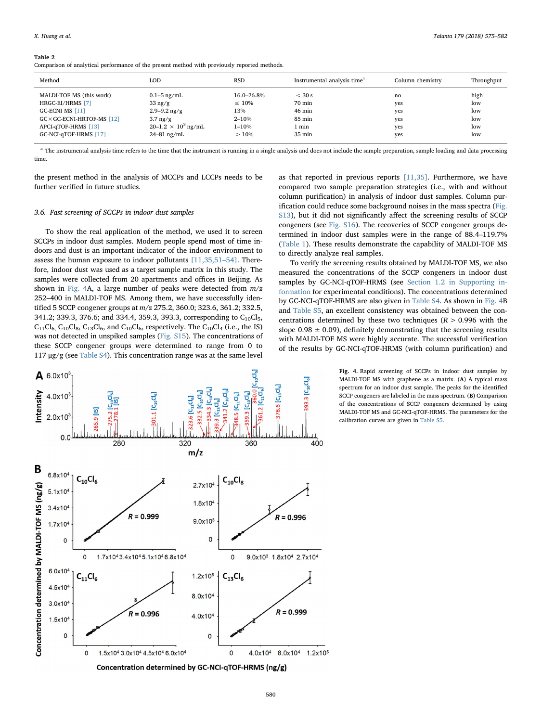#### <span id="page-5-0"></span>Table 2

Comparison of analytical performance of the present method with previously reported methods.

| Method                             | LOD                        | RSD         | Instrumental analysis time <sup>a</sup> | Column chemistry | Throughput |
|------------------------------------|----------------------------|-------------|-----------------------------------------|------------------|------------|
| MALDI-TOF MS (this work)           | $0.1 - 5$ ng/mL            | 16.0–26.8%  | $<$ 30 s                                | no               | high       |
| HRGC-EI/HRMS [7]                   | $33 \text{ ng/g}$          | $\leq 10\%$ | 70 min                                  | yes              | low        |
| GC-ECNI MS $[11]$                  | $2.9 - 9.2$ ng/g           | 13%         | $46 \text{ min}$                        | yes              | low        |
| $GC \times GC$ -ECNI-HRTOF-MS [12] | $3.7 \text{ ng/g}$         | $2 - 10%$   | 85 min                                  | yes              | low        |
| APCI-qTOF-HRMS [13]                | $20-1.2 \times 10^3$ ng/mL | $1 - 10%$   | 1 min                                   | yes              | low        |
| GC-NCI-qTOF-HRMS [17]              | $24 - 81$ ng/mL            | >10%        | $35 \text{ min}$                        | yes              | low        |

<span id="page-5-2"></span><sup>a</sup> The instrumental analysis time refers to the time that the instrument is running in a single analysis and does not include the sample preparation, sample loading and data processing time.

the present method in the analysis of MCCPs and LCCPs needs to be further verified in future studies.

# 3.6. Fast screening of SCCPs in indoor dust samples

To show the real application of the method, we used it to screen SCCPs in indoor dust samples. Modern people spend most of time indoors and dust is an important indicator of the indoor environment to assess the human exposure to indoor pollutants [\[11,35,51](#page-6-19)–54]. Therefore, indoor dust was used as a target sample matrix in this study. The samples were collected from 20 apartments and offices in Beijing. As shown in [Fig. 4A](#page-5-1), a large number of peaks were detected from  $m/z$ 252–400 in MALDI-TOF MS. Among them, we have successfully identified 5 SCCP congener groups at m/z 275.2, 360.0; 323.6, 361.2; 332.5, 341.2; 339.3, 376.6; and 334.4, 359.3, 393.3, corresponding to  $C_{10}Cl_5$ ,  $C_{11}Cl_6$ ,  $C_{10}Cl_8$ ,  $C_{13}Cl_6$ , and  $C_{10}Cl_6$ , respectively. The  $C_{10}Cl_4$  (i.e., the IS) was not detected in unspiked samples (Fig. S15). The concentrations of these SCCP congener groups were determined to range from 0 to  $117 \mu$ g/g (see Table S4). This concentration range was at the same level



To verify the screening results obtained by MALDI-TOF MS, we also measured the concentrations of the SCCP congeners in indoor dust samples by GC-NCI-qTOF-HRMS (see Section 1.2 in Supporting information for experimental conditions). The concentrations determined by GC-NCI-qTOF-HRMS are also given in Table S4. As shown in [Fig. 4B](#page-5-1) and Table S5, an excellent consistency was obtained between the concentrations determined by these two techniques  $(R > 0.996$  with the slope  $0.98 \pm 0.09$ ), definitely demonstrating that the screening results with MALDI-TOF MS were highly accurate. The successful verification of the results by GC-NCI-qTOF-HRMS (with column purification) and

> Fig. 4. Rapid screening of SCCPs in indoor dust samples by MALDI-TOF MS with graphene as a matrix. (A) A typical mass spectrum for an indoor dust sample. The peaks for the identified SCCP congeners are labeled in the mass spectrum. (B) Comparison of the concentrations of SCCP congeners determined by using MALDI-TOF MS and GC-NCI-qTOF-HRMS. The parameters for the calibration curves are given in Table S5.

<span id="page-5-1"></span>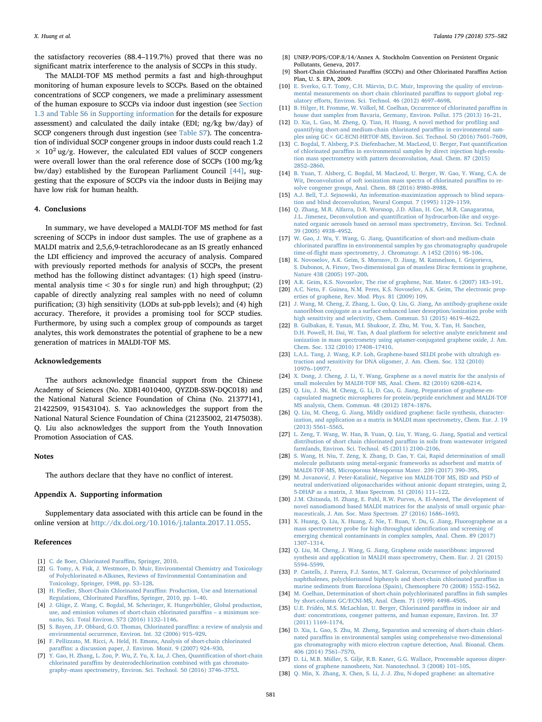the satisfactory recoveries (88.4–119.7%) proved that there was no significant matrix interference to the analysis of SCCPs in this study.

The MALDI-TOF MS method permits a fast and high-throughput monitoring of human exposure levels to SCCPs. Based on the obtained concentrations of SCCP congeners, we made a preliminary assessment of the human exposure to SCCPs via indoor dust ingestion (see Section 1.3 and Table S6 in Supporting information for the details for exposure assessment) and calculated the daily intake (EDI; ng/kg bw/day) of SCCP congeners through dust ingestion (see Table S7). The concentration of individual SCCP congener groups in indoor dusts could reach 1.2  $\times$  10<sup>2</sup> ug/g. However, the calculated EDI values of SCCP congeners were overall lower than the oral reference dose of SCCPs (100 mg/kg bw/day) established by the European Parliament Council [\[44\]](#page-7-2), suggesting that the exposure of SCCPs via the indoor dusts in Beijing may have low risk for human health.

# 4. Conclusions

In summary, we have developed a MALDI-TOF MS method for fast screening of SCCPs in indoor dust samples. The use of graphene as a MALDI matrix and 2,5,6,9-tetrachlorodecane as an IS greatly enhanced the LDI efficiency and improved the accuracy of analysis. Compared with previously reported methods for analysis of SCCPs, the present method has the following distinct advantages: (1) high speed (instrumental analysis time < 30 s for single run) and high throughput; (2) capable of directly analyzing real samples with no need of column purification; (3) high sensitivity (LODs at sub-ppb levels); and (4) high accuracy. Therefore, it provides a promising tool for SCCP studies. Furthermore, by using such a complex group of compounds as target analytes, this work demonstrates the potential of graphene to be a new generation of matrices in MALDI-TOF MS.

# Acknowledgements

The authors acknowledge financial support from the Chinese Academy of Sciences (No. XDB14010400, QYZDB-SSW-DQC018) and the National Natural Science Foundation of China (No. 21377141, 21422509, 91543104). S. Yao acknowledges the support from the National Natural Science Foundation of China (21235002, 21475038). Q. Liu also acknowledges the support from the Youth Innovation Promotion Association of CAS.

#### Notes

The authors declare that they have no conflict of interest.

#### Appendix A. Supporting information

Supplementary data associated with this article can be found in the online version at [http://dx.doi.org/10.1016/j.talanta.2017.11.055.](http://dx.doi.org/10.1016/j.talanta.2017.11.055)

#### References

- <span id="page-6-0"></span>[1] [C. de Boer, Chlorinated Para](http://refhub.elsevier.com/S0039-9140(17)31182-7/sbref1)ffins, Springer, 2010.
- [2] [G. Tomy, A. Fisk, J. Westmore, D. Muir, Environmental Chemistry and Toxicology](http://refhub.elsevier.com/S0039-9140(17)31182-7/sbref2) of Polychlorinated n[-Alkanes, Reviews of Environmental Contamination and](http://refhub.elsevier.com/S0039-9140(17)31182-7/sbref2) [Toxicology, Springer, 1998, pp. 53](http://refhub.elsevier.com/S0039-9140(17)31182-7/sbref2)–128.
- <span id="page-6-1"></span>[3] [H. Fiedler, Short-Chain Chlorinated Para](http://refhub.elsevier.com/S0039-9140(17)31182-7/sbref3)ffins: Production, Use and International [Regulations, Chlorinated Para](http://refhub.elsevier.com/S0039-9140(17)31182-7/sbref3)ffins, Springer, 2010, pp. 1–40.
- <span id="page-6-2"></span>[4] [J. Glüge, Z. Wang, C. Bogdal, M. Scheringer, K. Hungerbühler, Global production,](http://refhub.elsevier.com/S0039-9140(17)31182-7/sbref4) [use, and emission volumes of short-chain chlorinated para](http://refhub.elsevier.com/S0039-9140(17)31182-7/sbref4)ffins – a minimum sce[nario, Sci. Total Environ. 573 \(2016\) 1132](http://refhub.elsevier.com/S0039-9140(17)31182-7/sbref4)–1146.
- <span id="page-6-3"></span>[5] [S. Bayen, J.P. Obbard, G.O. Thomas, Chlorinated para](http://refhub.elsevier.com/S0039-9140(17)31182-7/sbref5)ffins: a review of analysis and [environmental occurrence, Environ. Int. 32 \(2006\) 915](http://refhub.elsevier.com/S0039-9140(17)31182-7/sbref5)–929.
- [6] [F. Pellizzato, M. Ricci, A. Held, H. Emons, Analysis of short-chain chlorinated](http://refhub.elsevier.com/S0039-9140(17)31182-7/sbref6) paraffi[ns: a discussion paper, J. Environ. Monit. 9 \(2007\) 924](http://refhub.elsevier.com/S0039-9140(17)31182-7/sbref6)–930.
- <span id="page-6-4"></span>[7] [Y. Gao, H. Zhang, L. Zou, P. Wu, Z. Yu, X. Lu, J. Chen, Quanti](http://refhub.elsevier.com/S0039-9140(17)31182-7/sbref7)fication of short-chain chlorinated paraffi[ns by deuterodechlorination combined with gas chromato](http://refhub.elsevier.com/S0039-9140(17)31182-7/sbref7)graphy–[mass spectrometry, Environ. Sci. Technol. 50 \(2016\) 3746](http://refhub.elsevier.com/S0039-9140(17)31182-7/sbref7)–3753.
- <span id="page-6-5"></span>UNEP/POPS/COP.8/14/Annex A. Stockholm Convention on Persistent Organic Pollutants, Geneva, 2017.
- <span id="page-6-6"></span>[9] Short-Chain Chlorinated Paraffins (SCCPs) and Other Chlorinated Paraffins Action Plan, U. S. EPA, 2009.
- <span id="page-6-7"></span>[10] [E. Sverko, G.T. Tomy, C.H. Märvin, D.C. Muir, Improving the quality of environ](http://refhub.elsevier.com/S0039-9140(17)31182-7/sbref8)[mental measurements on short chain chlorinated para](http://refhub.elsevier.com/S0039-9140(17)31182-7/sbref8)ffins to support global regulatory eff[orts, Environ. Sci. Technol. 46 \(2012\) 4697](http://refhub.elsevier.com/S0039-9140(17)31182-7/sbref8)–4698.
- <span id="page-6-19"></span>[11] [B. Hilger, H. Fromme, W. Völkel, M. Coelhan, Occurrence of chlorinated para](http://refhub.elsevier.com/S0039-9140(17)31182-7/sbref9)ffins in [house dust samples from Bavaria, Germany, Environ. Pollut. 175 \(2013\) 16](http://refhub.elsevier.com/S0039-9140(17)31182-7/sbref9)–21.
- <span id="page-6-8"></span>[12] [D. Xia, L. Gao, M. Zheng, Q. Tian, H. Huang, A novel method for pro](http://refhub.elsevier.com/S0039-9140(17)31182-7/sbref10)filing and [quantifying short-and medium-chain chlorinated para](http://refhub.elsevier.com/S0039-9140(17)31182-7/sbref10)ffins in environmental sam[ples using GC× GC-ECNI-HRTOF-MS, Environ. Sci. Technol. 50 \(2016\) 7601](http://refhub.elsevier.com/S0039-9140(17)31182-7/sbref10)–7609.
- <span id="page-6-9"></span>[13] C. [Bogdal, T. Alsberg, P.S. Diefenbacher, M. MacLeod, U. Berger, Fast quanti](http://refhub.elsevier.com/S0039-9140(17)31182-7/sbref11)fication of chlorinated paraffi[ns in environmental samples by direct injection high-resolu](http://refhub.elsevier.com/S0039-9140(17)31182-7/sbref11)[tion mass spectrometry with pattern deconvolution, Anal. Chem. 87 \(2015\)](http://refhub.elsevier.com/S0039-9140(17)31182-7/sbref11) 2852–[2860.](http://refhub.elsevier.com/S0039-9140(17)31182-7/sbref11)
- [14] [B. Yuan, T. Alsberg, C. Bogdal, M. MacLeod, U. Berger, W. Gao, Y. Wang, C.A. de](http://refhub.elsevier.com/S0039-9140(17)31182-7/sbref12) [Wit, Deconvolution of soft ionization mass spectra of chlorinated para](http://refhub.elsevier.com/S0039-9140(17)31182-7/sbref12)ffins to re[solve congener groups, Anal. Chem. 88 \(2016\) 8980](http://refhub.elsevier.com/S0039-9140(17)31182-7/sbref12)–8988.
- [15] [A.J. Bell, T.J. Sejnowski, An information-maximization approach to blind separa](http://refhub.elsevier.com/S0039-9140(17)31182-7/sbref13)[tion and blind deconvolution, Neural Comput. 7 \(1995\) 1129](http://refhub.elsevier.com/S0039-9140(17)31182-7/sbref13)–1159.
- [16] [Q. Zhang, M.R. Alfarra, D.R. Worsnop, J.D. Allan, H. Coe, M.R. Canagaratna,](http://refhub.elsevier.com/S0039-9140(17)31182-7/sbref14) [J.L. Jimenez, Deconvolution and quanti](http://refhub.elsevier.com/S0039-9140(17)31182-7/sbref14)fication of hydrocarbon-like and oxyge[nated organic aerosols based on aerosol mass spectrometry, Environ. Sci. Technol.](http://refhub.elsevier.com/S0039-9140(17)31182-7/sbref14) [39 \(2005\) 4938](http://refhub.elsevier.com/S0039-9140(17)31182-7/sbref14)–4952.
- <span id="page-6-10"></span>[17] [W. Gao, J. Wu, Y. Wang, G. Jiang, Quanti](http://refhub.elsevier.com/S0039-9140(17)31182-7/sbref15)fication of short-and medium-chain chlorinated paraffi[ns in environmental samples by gas chromatography quadrupole](http://refhub.elsevier.com/S0039-9140(17)31182-7/sbref15) time-of-fl[ight mass spectrometry, J. Chromatogr. A 1452 \(2016\) 98](http://refhub.elsevier.com/S0039-9140(17)31182-7/sbref15)–106.
- <span id="page-6-11"></span>[18] [K. Novoselov, A.K. Geim, S. Morozov, D. Jiang, M. Katsnelson, I. Grigorieva,](http://refhub.elsevier.com/S0039-9140(17)31182-7/sbref16) [S. Dubonos, A. Firsov, Two-dimensional gas of massless Dirac fermions in graphene,](http://refhub.elsevier.com/S0039-9140(17)31182-7/sbref16) [Nature 438 \(2005\) 197](http://refhub.elsevier.com/S0039-9140(17)31182-7/sbref16)–200.
- [19] [A.K. Geim, K.S. Novoselov, The rise of graphene, Nat. Mater. 6 \(2007\) 183](http://refhub.elsevier.com/S0039-9140(17)31182-7/sbref17)–191. [20] [A.C. Neto, F. Guinea, N.M. Peres, K.S. Novoselov, A.K. Geim, The electronic prop](http://refhub.elsevier.com/S0039-9140(17)31182-7/sbref18)[erties of graphene, Rev. Mod. Phys. 81 \(2009\) 109.](http://refhub.elsevier.com/S0039-9140(17)31182-7/sbref18)
- <span id="page-6-12"></span>[21] [J. Wang, M. Cheng, Z. Zhang, L. Guo, Q. Liu, G. Jiang, An antibody-graphene oxide](http://refhub.elsevier.com/S0039-9140(17)31182-7/sbref19) [nanoribbon conjugate as a surface enhanced laser desorption/ionization probe with](http://refhub.elsevier.com/S0039-9140(17)31182-7/sbref19) [high sensitivity and selectivity, Chem. Commun. 51 \(2015\) 4619](http://refhub.elsevier.com/S0039-9140(17)31182-7/sbref19)–4622.
- [22] [B. Gulbakan, E. Yasun, M.I. Shukoor, Z. Zhu, M. You, X. Tan, H. Sanchez,](http://refhub.elsevier.com/S0039-9140(17)31182-7/sbref20) [D.H. Powell, H. Dai, W. Tan, A dual platform for selective analyte enrichment and](http://refhub.elsevier.com/S0039-9140(17)31182-7/sbref20) [ionization in mass spectrometry using aptamer-conjugated graphene oxide, J. Am.](http://refhub.elsevier.com/S0039-9140(17)31182-7/sbref20) [Chem. Soc. 132 \(2010\) 17408](http://refhub.elsevier.com/S0039-9140(17)31182-7/sbref20)–17410.
- <span id="page-6-15"></span>[23] [L.A.L. Tang, J. Wang, K.P. Loh, Graphene-based SELDI probe with ultrahigh ex](http://refhub.elsevier.com/S0039-9140(17)31182-7/sbref21)[traction and sensitivity for DNA oligomer, J. Am. Chem. Soc. 132 \(2010\)](http://refhub.elsevier.com/S0039-9140(17)31182-7/sbref21) 10976–[10977.](http://refhub.elsevier.com/S0039-9140(17)31182-7/sbref21)
- [24] [X. Dong, J. Cheng, J. Li, Y. Wang, Graphene as a novel matrix for the analysis of](http://refhub.elsevier.com/S0039-9140(17)31182-7/sbref22) [small molecules by MALDI-TOF MS, Anal. Chem. 82 \(2010\) 6208](http://refhub.elsevier.com/S0039-9140(17)31182-7/sbref22)–6214.
- [25] [Q. Liu, J. Shi, M. Cheng, G. Li, D. Cao, G. Jiang, Preparation of graphene-en](http://refhub.elsevier.com/S0039-9140(17)31182-7/sbref23)[capsulated magnetic microspheres for protein/peptide enrichment and MALDI-TOF](http://refhub.elsevier.com/S0039-9140(17)31182-7/sbref23) [MS analysis, Chem. Commun. 48 \(2012\) 1874](http://refhub.elsevier.com/S0039-9140(17)31182-7/sbref23)–1876.
- <span id="page-6-13"></span>[26] [Q. Liu, M. Cheng, G. Jiang, Mildly oxidized graphene: facile synthesis, character](http://refhub.elsevier.com/S0039-9140(17)31182-7/sbref24)[ization, and application as a matrix in MALDI mass spectrometry, Chem. Eur. J. 19](http://refhub.elsevier.com/S0039-9140(17)31182-7/sbref24) [\(2013\)](http://refhub.elsevier.com/S0039-9140(17)31182-7/sbref24) 5561–5565.
- <span id="page-6-18"></span>[27] [L. Zeng, T. Wang, W. Han, B. Yuan, Q. Liu, Y. Wang, G. Jiang, Spatial and vertical](http://refhub.elsevier.com/S0039-9140(17)31182-7/sbref25) [distribution of short chain chlorinated para](http://refhub.elsevier.com/S0039-9140(17)31182-7/sbref25)ffins in soils from wastewater irrigated [farmlands, Environ. Sci. Technol. 45 \(2011\) 2100](http://refhub.elsevier.com/S0039-9140(17)31182-7/sbref25)–2106.
- [28] [S. Wang, H. Niu, T. Zeng, X. Zhang, D. Cao, Y. Cai, Rapid determination of small](http://refhub.elsevier.com/S0039-9140(17)31182-7/sbref26) [molecule pollutants using metal-organic frameworks as adsorbent and matrix of](http://refhub.elsevier.com/S0039-9140(17)31182-7/sbref26) [MALDI-TOF-MS, Microporous Mesoporous Mater. 239 \(2017\) 390](http://refhub.elsevier.com/S0039-9140(17)31182-7/sbref26)–395.
- [29] M. Jovanović, J. Peter-Katalinić[, Negative ion MALDI-TOF MS, ISD and PSD of](http://refhub.elsevier.com/S0039-9140(17)31182-7/sbref27) [neutral underivatized oligosaccharides without anionic dopant strategies, using 2,](http://refhub.elsevier.com/S0039-9140(17)31182-7/sbref27) [5-DHAP as a matrix, J. Mass Spectrom. 51 \(2016\) 111](http://refhub.elsevier.com/S0039-9140(17)31182-7/sbref27)–122.
- [30] [J.M. Chitanda, H. Zhang, E. Pahl, R.W. Purves, A. El-Aneed, The development of](http://refhub.elsevier.com/S0039-9140(17)31182-7/sbref28) [novel nanodiamond based MALDI matrices for the analysis of small organic phar](http://refhub.elsevier.com/S0039-9140(17)31182-7/sbref28)[maceuticals, J. Am. Soc. Mass Spectrom. 27 \(2016\) 1686](http://refhub.elsevier.com/S0039-9140(17)31182-7/sbref28)–1693.
- <span id="page-6-16"></span>[31] [X. Huang, Q. Liu, X. Huang, Z. Nie, T. Ruan, Y. Du, G. Jiang, Fluorographene as a](http://refhub.elsevier.com/S0039-9140(17)31182-7/sbref29) [mass spectrometry probe for high-throughput identi](http://refhub.elsevier.com/S0039-9140(17)31182-7/sbref29)fication and screening of [emerging chemical contaminants in complex samples, Anal. Chem. 89 \(2017\)](http://refhub.elsevier.com/S0039-9140(17)31182-7/sbref29) 1307–[1314.](http://refhub.elsevier.com/S0039-9140(17)31182-7/sbref29)
- [32] [Q. Liu, M. Cheng, J. Wang, G. Jiang, Graphene oxide nanoribbons: improved](http://refhub.elsevier.com/S0039-9140(17)31182-7/sbref30) [synthesis and application in MALDI mass spectrometry, Chem. Eur. J. 21 \(2015\)](http://refhub.elsevier.com/S0039-9140(17)31182-7/sbref30) 5594–[5599.](http://refhub.elsevier.com/S0039-9140(17)31182-7/sbref30)
- <span id="page-6-14"></span>[33] [P. Castells, J. Parera, F.J. Santos, M.T. Galceran, Occurrence of polychlorinated](http://refhub.elsevier.com/S0039-9140(17)31182-7/sbref31) [naphthalenes, polychlorinated biphenyls and short-chain chlorinated para](http://refhub.elsevier.com/S0039-9140(17)31182-7/sbref31)ffins in [marine sediments from Barcelona \(Spain\), Chemosphere 70 \(2008\) 1552](http://refhub.elsevier.com/S0039-9140(17)31182-7/sbref31)–1562.
- [34] [M. Coelhan, Determination of short-chain polychlorinated para](http://refhub.elsevier.com/S0039-9140(17)31182-7/sbref32)ffins in fish samples [by short-column GC/ECNI-MS, Anal. Chem. 71 \(1999\) 4498](http://refhub.elsevier.com/S0039-9140(17)31182-7/sbref32)–4505.
- [35] [U.E. Fridén, M.S. McLachlan, U. Berger, Chlorinated para](http://refhub.elsevier.com/S0039-9140(17)31182-7/sbref33)ffins in indoor air and [dust: concentrations, congener patterns, and human exposure, Environ. Int. 37](http://refhub.elsevier.com/S0039-9140(17)31182-7/sbref33) [\(2011\) 1169](http://refhub.elsevier.com/S0039-9140(17)31182-7/sbref33)–1174.
- [36] [D. Xia, L. Gao, S. Zhu, M. Zheng, Separation and screening of short-chain chlori](http://refhub.elsevier.com/S0039-9140(17)31182-7/sbref34)nated paraffi[ns in environmental samples using comprehensive two-dimensional](http://refhub.elsevier.com/S0039-9140(17)31182-7/sbref34) [gas chromatography with micro electron capture detection, Anal. Bioanal. Chem.](http://refhub.elsevier.com/S0039-9140(17)31182-7/sbref34) [406 \(2014\) 7561](http://refhub.elsevier.com/S0039-9140(17)31182-7/sbref34)–7570.
- [37] [D. Li, M.B. Müller, S. Gilje, R.B. Kaner, G.G. Wallace, Processable aqueous disper](http://refhub.elsevier.com/S0039-9140(17)31182-7/sbref35)[sions of graphene nanosheets, Nat. Nanotechnol. 3 \(2008\) 101](http://refhub.elsevier.com/S0039-9140(17)31182-7/sbref35)–105.
- <span id="page-6-17"></span>[38] [Q. Min, X. Zhang, X. Chen, S. Li, J.-J. Zhu, N-doped graphene: an alternative](http://refhub.elsevier.com/S0039-9140(17)31182-7/sbref36)